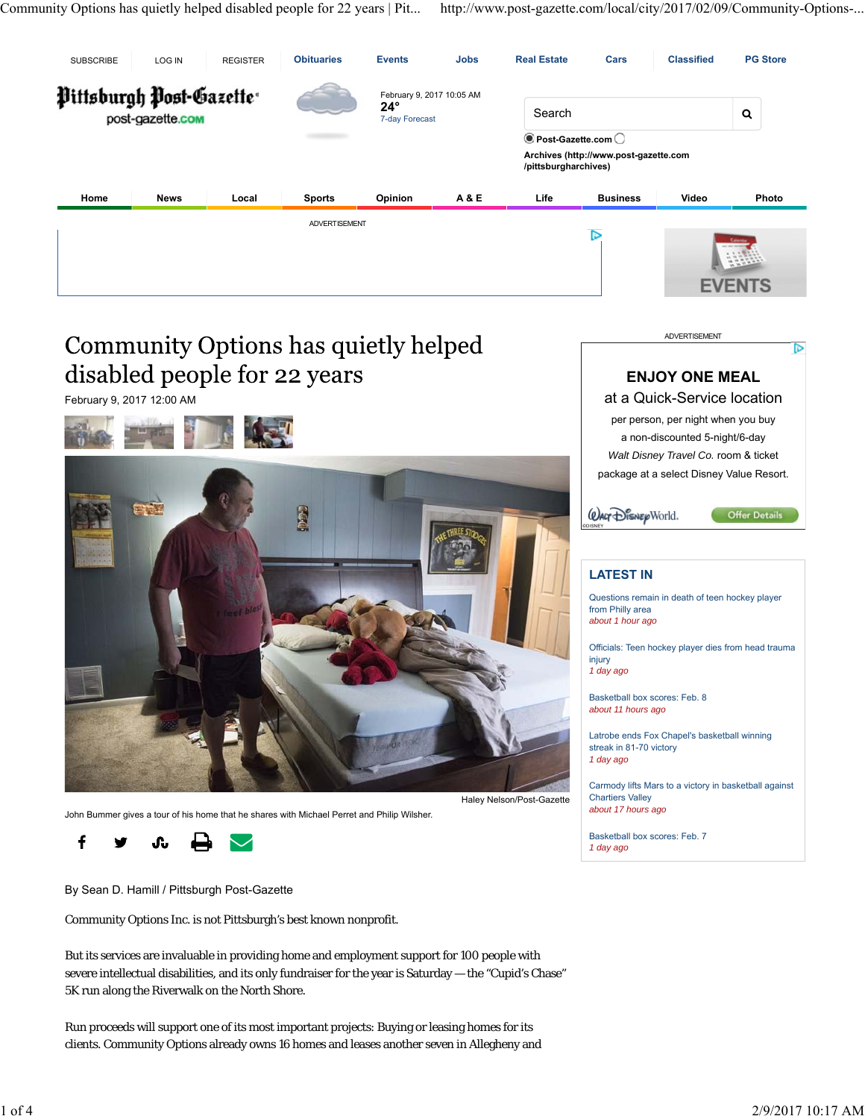Community Options has quietly helped disabled people for 22 years | Pit... http://www.post-gazette.com/local/city/2017/02/09/Community-Options-...



# Community Options has quietly helped disabled people for 22 years

February 9, 2017 12:00 AM



John Bummer gives a tour of his home that he shares with Michael Perret and Philip Wilsher.

f մա

By Sean D. Hamill / Pittsburgh Post-Gazette

Community Options Inc. is not Pittsburgh's best known nonprofit.

But its services are invaluable in providing home and employment support for 100 people with severe intellectual disabilities, and its only fundraiser for the year is Saturday — the "Cupid's Chase" 5K run along the Riverwalk on the North Shore.

Run proceeds will support one of its most important projects: Buying or leasing homes for its clients. Community Options already owns 16 homes and leases another seven in Allegheny and ADVERTISEMENT



## **LATEST IN**

Questions remain in death of teen hockey player from Philly area *about 1 hour ago*

Officials: Teen hockey player dies from head trauma injury *1 day ago*

Basketball box scores: Feb. 8 *about 11 hours ago*

Latrobe ends Fox Chapel's basketball winning streak in 81-70 victory *1 day ago*

Carmody lifts Mars to a victory in basketball against Chartiers Valley *about 17 hours ago*

Basketball box scores: Feb. 7 *1 day ago*